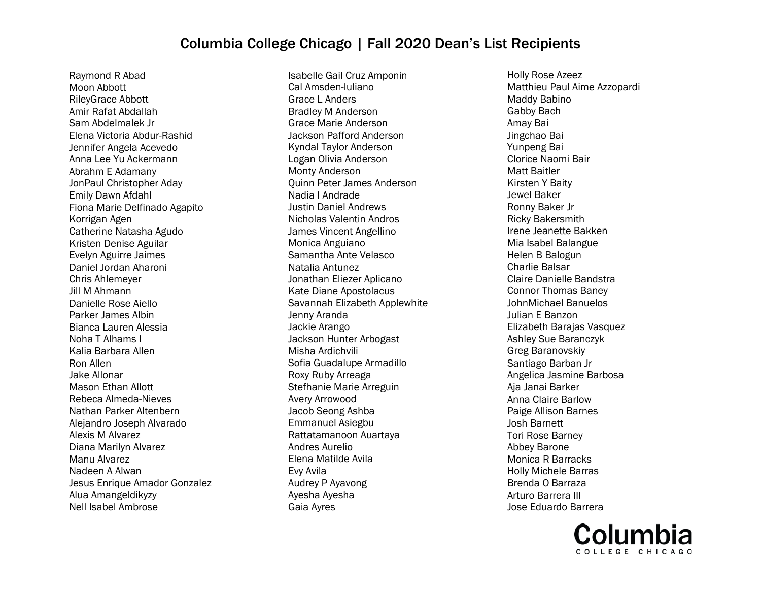Raymond R Abad Moon Abbott RileyGrace Abbott Amir Rafat Abdallah Sam Abdelmalek Jr Elena Victoria Abdur-Rashid Jennifer Angela Acevedo Anna Lee Yu Ackermann Abrahm E Adamany JonPaul Christopher Aday Emily Dawn Afdahl Fiona Marie Delfinado Agapito Korrigan Agen Catherine Natasha Agudo Kristen Denise Aguilar Evelyn Aguirre Jaimes Daniel Jordan Aharoni Chris Ahlemeyer Jill M Ahmann Danielle Rose Aiello Parker James Albin Bianca Lauren Alessia Noha T Alhams I Kalia Barbara Allen Ron Allen Jake Allonar Mason Ethan Allott Rebeca Almeda-Nieves Nathan Parker Altenbern Alejandro Joseph Alvarado Alexis M Alvarez Diana Marilyn Alvarez Manu Alvarez Nadeen A Alwan Jesus Enrique Amador Gonzalez Alua Amangeldikyzy Nell Isabel Ambrose

Isabelle Gail Cruz Amponin Cal Amsden-Iuliano Grace L Anders Bradley M Anderson Grace Marie Anderson Jackson Pafford Anderson Kyndal Taylor Anderson Logan Olivia Anderson Monty Anderson Quinn Peter James Anderson Nadia I Andrade Justin Daniel Andrews Nicholas Valentin Andros James Vincent Angellino Monica Anguiano Samantha Ante Velasco Natalia Antunez Jonathan Eliezer Aplicano Kate Diane Apostolacus Savannah Elizabeth Applewhite Jenny Aranda Jackie Arango Jackson Hunter Arbogast Misha Ardichvili Sofia Guadalupe Armadillo Roxy Ruby Arreaga Stefhanie Marie Arreguin Avery Arrowood Jacob Seong Ashba Emmanuel Asiegbu Rattatamanoon Auartaya Andres Aurelio Elena Matilde Avila Evy Avila Audrey P Ayavong Ayesha Ayesha Gaia Ayres

Holly Rose Azeez Matthieu Paul Aime Azzopardi Maddy Babino Gabby Bach Amay Bai Jingchao Bai Yunpeng Bai Clorice Naomi Bair Matt Baitler Kirsten Y Baity Jewel Baker Ronny Baker Jr Ricky Bakersmith Irene Jeanette Bakken Mia Isabel Balangue Helen B Balogun Charlie Balsar Claire Danielle Bandstra Connor Thomas Baney JohnMichael Banuelos Julian E Banzon Elizabeth Barajas Vasquez Ashley Sue Baranczyk Greg Baranovskiy Santiago Barban Jr Angelica Jasmine Barbosa Aja Janai Barker Anna Claire Barlow Paige Allison Barnes Josh Barnett Tori Rose Barney Abbey Barone Monica R Barracks Holly Michele Barras Brenda O Barraza Arturo Barrera III Jose Eduardo Barrera

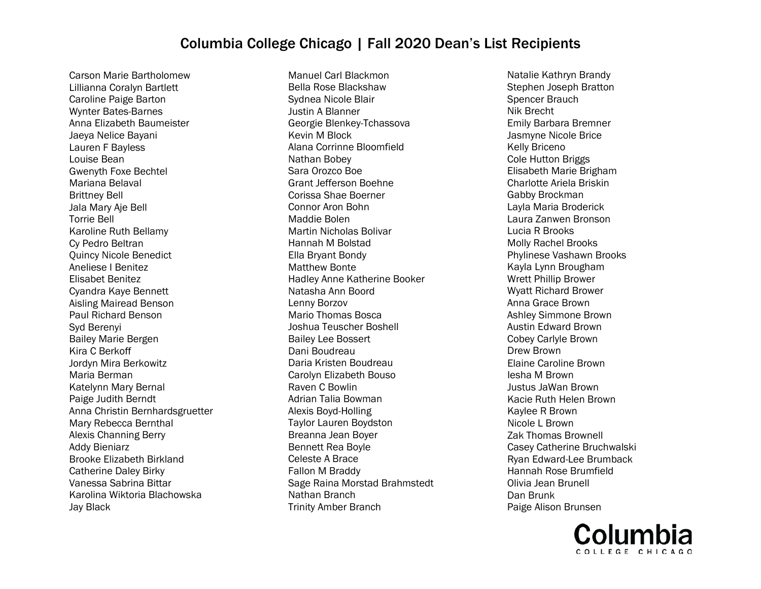Carson Marie Bartholomew Lillianna Coralyn Bartlett Caroline Paige Barton Wynter Bates-Barnes Anna Elizabeth Baumeister Jaeya Nelice Bayani Lauren F Bayless Louise Bean Gwenyth Foxe Bechtel Mariana Belaval Brittney Bell Jala Mary Aje Bell Torrie Bell Karoline Ruth Bellamy Cy Pedro Beltran Quincy Nicole Benedict Aneliese I Benitez Elisabet Benitez Cyandra Kaye Bennett Aisling Mairead Benson Paul Richard Benson Syd Berenyi Bailey Marie Bergen Kira C Berkoff Jordyn Mira Berkowitz Maria Berman Katelynn Mary Bernal Paige Judith Berndt Anna Christin Bernhardsgruetter Mary Rebecca Bernthal Alexis Channing Berry Addy Bieniarz Brooke Elizabeth Birkland Catherine Daley Birky Vanessa Sabrina Bittar Karolina Wiktoria Blachowska Jay Black

Manuel Carl Blackmon Bella Rose Blackshaw Sydnea Nicole Blair Justin A Blanner Georgie Blenkey-Tchassova Kevin M Block Alana Corrinne Bloomfield Nathan Bobey Sara Orozco Boe Grant Jefferson Boehne Corissa Shae Boerner Connor Aron Bohn Maddie Bolen Martin Nicholas Bolivar Hannah M Bolstad Ella Bryant Bondy Matthew Bonte Hadley Anne Katherine Booker Natasha Ann Boord Lenny Borzov Mario Thomas Bosca Joshua Teuscher Boshell Bailey Lee Bossert Dani Boudreau Daria Kristen Boudreau Carolyn Elizabeth Bouso Raven C Bowlin Adrian Talia Bowman Alexis Boyd-Holling Taylor Lauren Boydston Breanna Jean Boyer Bennett Rea Boyle Celeste A Brace Fallon M Braddy Sage Raina Morstad Brahmstedt Nathan Branch Trinity Amber Branch

Natalie Kathryn Brandy Stephen Joseph Bratton Spencer Brauch Nik Brecht Emily Barbara Bremner Jasmyne Nicole Brice Kelly Briceno Cole Hutton Briggs Elisabeth Marie Brigham Charlotte Ariela Briskin Gabby Brockman Layla Maria Broderick Laura Zanwen Bronson Lucia R Brooks Molly Rachel Brooks Phylinese Vashawn Brooks Kayla Lynn Brougham Wrett Phillip Brower Wyatt Richard Brower Anna Grace Brown Ashley Simmone Brown Austin Edward Brown Cobey Carlyle Brown Drew Brown Elaine Caroline Brown Iesha M Brown Justus JaWan Brown Kacie Ruth Helen Brown Kaylee R Brown Nicole L Brown Zak Thomas Brownell Casey Catherine Bruchwalski Ryan Edward-Lee Brumback Hannah Rose Brumfield Olivia Jean Brunell Dan Brunk Paige Alison Brunsen

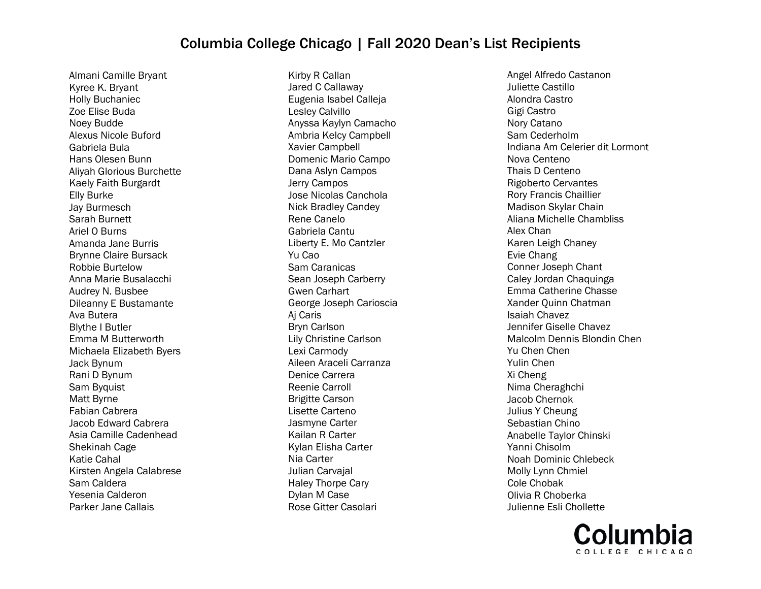Almani Camille Bryant Kyree K. Bryant Holly Buchaniec Zoe Elise Buda Noey Budde Alexus Nicole Buford Gabriela Bula Hans Olesen Bunn Aliyah Glorious Burchette Kaely Faith Burgardt Elly Burke Jay Burmesch Sarah Burnett Ariel O Burns Amanda Jane Burris Brynne Claire Bursack Robbie Burtelow Anna Marie Busalacchi Audrey N. Busbee Dileanny E Bustamante Ava Butera Blythe I Butler Emma M Butterworth Michaela Elizabeth Byers Jack Bynum Rani D Bynum Sam Byquist Matt Byrne Fabian Cabrera Jacob Edward Cabrera Asia Camille Cadenhead Shekinah Cage Katie Cahal Kirsten Angela Calabrese Sam Caldera Yesenia Calderon Parker Jane Callais

Kirby R Callan Jared C Callaway Eugenia Isabel Calleja Lesley Calvillo Anyssa Kaylyn Camacho Ambria Kelcy Campbell Xavier Campbell Domenic Mario Campo Dana Aslyn Campos Jerry Campos Jose Nicolas Canchola Nick Bradley Candey Rene Canelo Gabriela Cantu Liberty E. Mo Cantzler Yu Cao Sam Caranicas Sean Joseph Carberry Gwen Carhart George Joseph Carioscia Aj Caris Bryn Carlson Lily Christine Carlson Lexi Carmody Aileen Araceli Carranza Denice Carrera Reenie Carroll Brigitte Carson Lisette Carteno Jasmyne Carter Kailan R Carter Kylan Elisha Carter Nia Carter Julian Carvajal Haley Thorpe Cary Dylan M Case Rose Gitter Casolari

Angel Alfredo Castanon Juliette Castillo Alondra Castro Gigi Castro Nory Catano Sam Cederholm Indiana Am Celerier dit Lormont Nova Centeno Thais D Centeno Rigoberto Cervantes Rory Francis Chaillier Madison Skylar Chain Aliana Michelle Chambliss Alex Chan Karen Leigh Chaney Evie Chang Conner Joseph Chant Caley Jordan Chaquinga Emma Catherine Chasse Xander Quinn Chatman Isaiah Chavez Jennifer Giselle Chavez Malcolm Dennis Blondin Chen Yu Chen Chen Yulin Chen Xi Cheng Nima Cheraghchi Jacob Chernok Julius Y Cheung Sebastian Chino Anabelle Taylor Chinski Yanni Chisolm Noah Dominic Chlebeck Molly Lynn Chmiel Cole Chobak Olivia R Choberka Julienne Esli Chollette

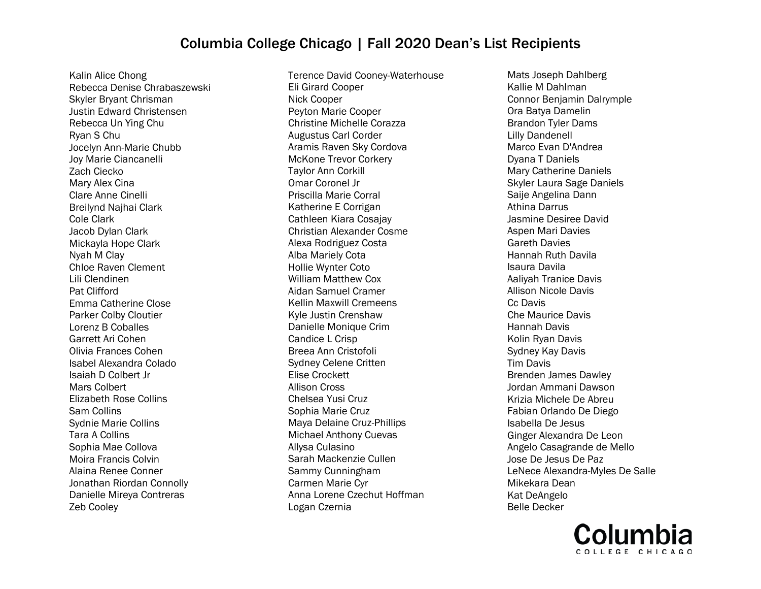Kalin Alice Chong Rebecca Denise Chrabaszewski Skyler Bryant Chrisman Justin Edward Christensen Rebecca Un Ying Chu Ryan S Chu Jocelyn Ann-Marie Chubb Joy Marie Ciancanelli Zach Ciecko Mary Alex Cina Clare Anne Cinelli Breilynd Najhai Clark Cole Clark Jacob Dylan Clark Mickayla Hope Clark Nyah M Clay Chloe Raven Clement Lili Clendinen Pat Clifford Emma Catherine Close Parker Colby Cloutier Lorenz B Coballes Garrett Ari Cohen Olivia Frances Cohen Isabel Alexandra Colado Isaiah D Colbert Jr Mars Colbert Elizabeth Rose Collins Sam Collins Sydnie Marie Collins Tara A Collins Sophia Mae Collova Moira Francis Colvin Alaina Renee Conner Jonathan Riordan Connolly Danielle Mireya Contreras Zeb Cooley

Terence David Cooney-Waterhouse Eli Girard Cooper Nick Cooper Peyton Marie Cooper Christine Michelle Corazza Augustus Carl Corder Aramis Raven Sky Cordova McKone Trevor Corkery Taylor Ann Corkill Omar Coronel Jr Priscilla Marie Corral Katherine E Corrigan Cathleen Kiara Cosajay Christian Alexander Cosme Alexa Rodriguez Costa Alba Mariely Cota Hollie Wynter Coto William Matthew Cox Aidan Samuel Cramer Kellin Maxwill Cremeens Kyle Justin Crenshaw Danielle Monique Crim Candice L Crisp Breea Ann Cristofoli Sydney Celene Critten Elise Crockett Allison Cross Chelsea Yusi Cruz Sophia Marie Cruz Maya Delaine Cruz-Phillips Michael Anthony Cuevas Allysa Culasino Sarah Mackenzie Cullen Sammy Cunningham Carmen Marie Cyr Anna Lorene Czechut Hoffman Logan Czernia

Mats Joseph Dahlberg Kallie M Dahlman Connor Benjamin Dalrymple Ora Batya Damelin Brandon Tyler Dams Lilly Dandenell Marco Evan D'Andrea Dyana T Daniels Mary Catherine Daniels Skyler Laura Sage Daniels Saije Angelina Dann Athina Darrus Jasmine Desiree David Aspen Mari Davies Gareth Davies Hannah Ruth Davila Isaura Davila Aaliyah Tranice Davis Allison Nicole Davis Cc Davis Che Maurice Davis Hannah Davis Kolin Ryan Davis Sydney Kay Davis Tim Davis Brenden James Dawley Jordan Ammani Dawson Krizia Michele De Abreu Fabian Orlando De Diego Isabella De Jesus Ginger Alexandra De Leon Angelo Casagrande de Mello Jose De Jesus De Paz LeNece Alexandra-Myles De Salle Mikekara Dean Kat DeAngelo Belle Decker

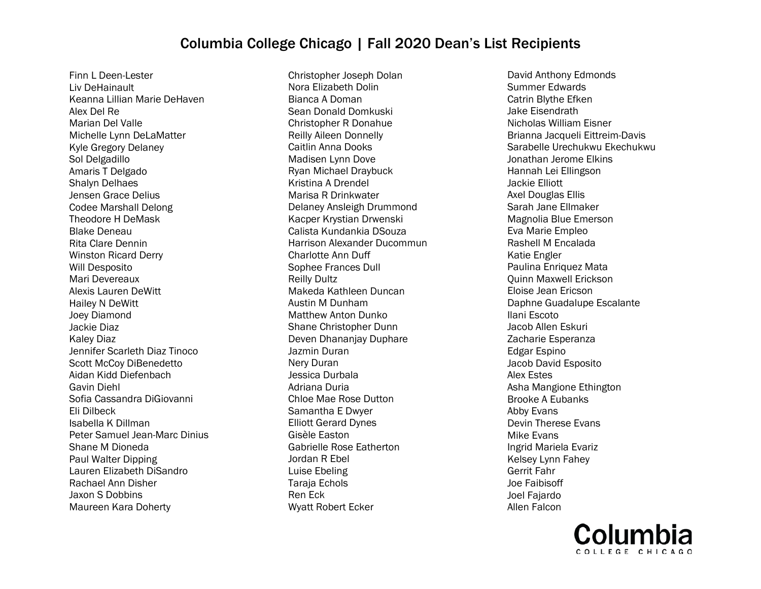Finn L Deen-Lester Liv DeHainault Keanna Lillian Marie DeHaven Alex Del Re Marian Del Valle Michelle Lynn DeLaMatter Kyle Gregory Delaney Sol Delgadillo Amaris T Delgado Shalyn Delhaes Jensen Grace Delius Codee Marshall Delong Theodore H DeMask Blake Deneau Rita Clare Dennin Winston Ricard Derry Will Desposito Mari Devereaux Alexis Lauren DeWitt Hailey N DeWitt Joey Diamond Jackie Diaz Kaley Diaz Jennifer Scarleth Diaz Tinoco Scott McCoy DiBenedetto Aidan Kidd Diefenbach Gavin Diehl Sofia Cassandra DiGiovanni Eli Dilbeck Isabella K Dillman Peter Samuel Jean-Marc Dinius Shane M Dioneda Paul Walter Dipping Lauren Elizabeth DiSandro Rachael Ann Disher Jaxon S Dobbins Maureen Kara Doherty

Christopher Joseph Dolan Nora Elizabeth Dolin Bianca A Doman Sean Donald Domkuski Christopher R Donahue Reilly Aileen Donnelly Caitlin Anna Dooks Madisen Lynn Dove Ryan Michael Draybuck Kristina A Drendel Marisa R Drinkwater Delaney Ansleigh Drummond Kacper Krystian Drwenski Calista Kundankia DSouza Harrison Alexander Ducommun Charlotte Ann Duff Sophee Frances Dull Reilly Dultz Makeda Kathleen Duncan Austin M Dunham Matthew Anton Dunko Shane Christopher Dunn Deven Dhananjay Duphare Jazmin Duran Nery Duran Jessica Durbala Adriana Duria Chloe Mae Rose Dutton Samantha E Dwyer Elliott Gerard Dynes Gisèle Easton Gabrielle Rose Eatherton Jordan R Ebel Luise Ebeling Taraja Echols Ren Eck Wyatt Robert Ecker

David Anthony Edmonds Summer Edwards Catrin Blythe Efken Jake Eisendrath Nicholas William Eisner Brianna Jacqueli Eittreim-Davis Sarabelle Urechukwu Ekechukwu Jonathan Jerome Elkins Hannah Lei Ellingson Jackie Elliott Axel Douglas Ellis Sarah Jane Ellmaker Magnolia Blue Emerson Eva Marie Empleo Rashell M Encalada Katie Engler Paulina Enriquez Mata Quinn Maxwell Erickson Eloise Jean Ericson Daphne Guadalupe Escalante Ilani Escoto Jacob Allen Eskuri Zacharie Esperanza Edgar Espino Jacob David Esposito Alex Estes Asha Mangione Ethington Brooke A Eubanks Abby Evans Devin Therese Evans Mike Evans Ingrid Mariela Evariz Kelsey Lynn Fahey Gerrit Fahr Joe Faibisoff Joel Fajardo Allen Falcon

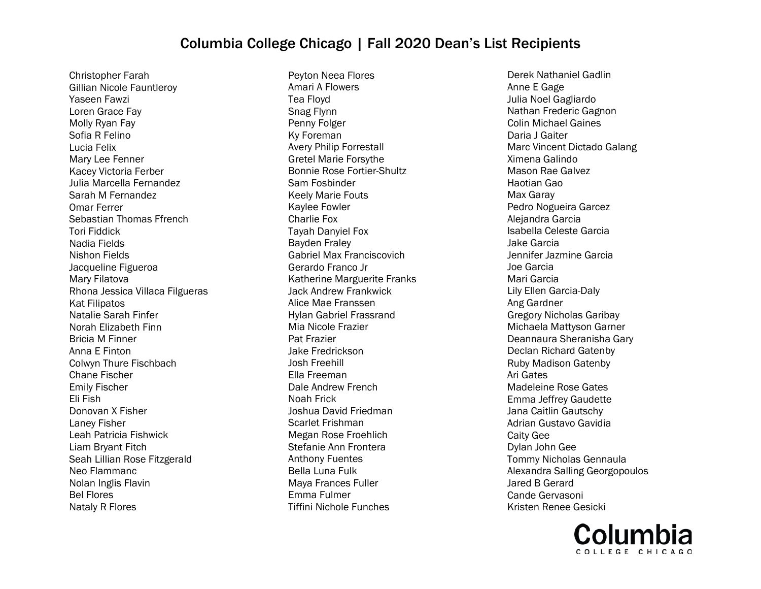Christopher Farah Gillian Nicole Fauntleroy Yaseen Fawzi Loren Grace Fay Molly Ryan Fay Sofia R Felino Lucia Felix Mary Lee Fenner Kacey Victoria Ferber Julia Marcella Fernandez Sarah M Fernandez Omar Ferrer Sebastian Thomas Ffrench Tori Fiddick Nadia Fields Nishon Fields Jacqueline Figueroa Mary Filatova Rhona Jessica Villaca Filgueras Kat Filipatos Natalie Sarah Finfer Norah Elizabeth Finn Bricia M Finner Anna E Finton Colwyn Thure Fischbach Chane Fischer Emily Fischer Eli Fish Donovan X Fisher Laney Fisher Leah Patricia Fishwick Liam Bryant Fitch Seah Lillian Rose Fitzgerald Neo Flammanc Nolan Inglis Flavin Bel Flores Nataly R Flores

Peyton Neea Flores Amari A Flowers Tea Floyd Snag Flynn Penny Folger Ky Foreman Avery Philip Forrestall Gretel Marie Forsythe Bonnie Rose Fortier-Shultz Sam Fosbinder Keely Marie Fouts Kaylee Fowler Charlie Fox Tayah Danyiel Fox Bayden Fraley Gabriel Max Franciscovich Gerardo Franco Jr Katherine Marguerite Franks Jack Andrew Frankwick Alice Mae Franssen Hylan Gabriel Frassrand Mia Nicole Frazier Pat Frazier Jake Fredrickson Josh Freehill Ella Freeman Dale Andrew French Noah Frick Joshua David Friedman Scarlet Frishman Megan Rose Froehlich Stefanie Ann Frontera Anthony Fuentes Bella Luna Fulk Maya Frances Fuller Emma Fulmer Tiffini Nichole Funches

Derek Nathaniel Gadlin Anne E Gage Julia Noel Gagliardo Nathan Frederic Gagnon Colin Michael Gaines Daria J Gaiter Marc Vincent Dictado Galang Ximena Galindo Mason Rae Galvez Haotian Gao Max Garay Pedro Nogueira Garcez Alejandra Garcia Isabella Celeste Garcia Jake Garcia Jennifer Jazmine Garcia Joe Garcia Mari Garcia Lily Ellen Garcia-Daly Ang Gardner Gregory Nicholas Garibay Michaela Mattyson Garner Deannaura Sheranisha Gary Declan Richard Gatenby Ruby Madison Gatenby Ari Gates Madeleine Rose Gates Emma Jeffrey Gaudette Jana Caitlin Gautschy Adrian Gustavo Gavidia Caity Gee Dylan John Gee Tommy Nicholas Gennaula Alexandra Salling Georgopoulos Jared B Gerard Cande Gervasoni Kristen Renee Gesicki

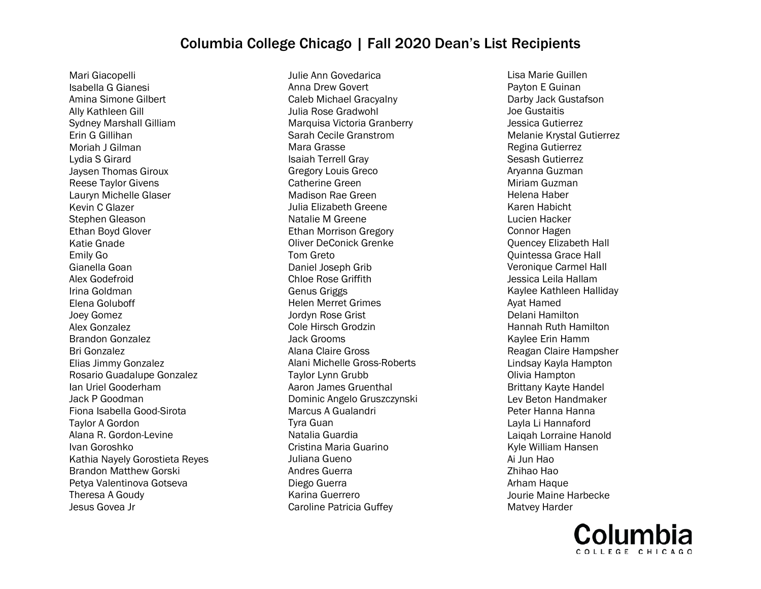Mari Giacopelli Isabella G Gianesi Amina Simone Gilbert Ally Kathleen Gill Sydney Marshall Gilliam Erin G Gillihan Moriah J Gilman Lydia S Girard Jaysen Thomas Giroux Reese Taylor Givens Lauryn Michelle Glaser Kevin C Glazer Stephen Gleason Ethan Boyd Glover Katie Gnade Emily Go Gianella Goan Alex Godefroid Irina Goldman Elena Goluboff Joey Gomez Alex Gonzalez Brandon Gonzalez Bri Gonzalez Elias Jimmy Gonzalez Rosario Guadalupe Gonzalez Ian Uriel Gooderham Jack P Goodman Fiona Isabella Good-Sirota Taylor A Gordon Alana R. Gordon-Levine Ivan Goroshko Kathia Nayely Gorostieta Reyes Brandon Matthew Gorski Petya Valentinova Gotseva Theresa A Goudy Jesus Govea Jr

Julie Ann Govedarica Anna Drew Govert Caleb Michael Gracyalny Julia Rose Gradwohl Marquisa Victoria Granberry Sarah Cecile Granstrom Mara Grasse Isaiah Terrell Gray Gregory Louis Greco Catherine Green Madison Rae Green Julia Elizabeth Greene Natalie M Greene Ethan Morrison Gregory Oliver DeConick Grenke Tom Greto Daniel Joseph Grib Chloe Rose Griffith Genus Griggs Helen Merret Grimes Jordyn Rose Grist Cole Hirsch Grodzin Jack Grooms Alana Claire Gross Alani Michelle Gross-Roberts Taylor Lynn Grubb Aaron James Gruenthal Dominic Angelo Gruszczynski Marcus A Gualandri Tyra Guan Natalia Guardia Cristina Maria Guarino Juliana Gueno Andres Guerra Diego Guerra Karina Guerrero Caroline Patricia Guffey

Lisa Marie Guillen Payton E Guinan Darby Jack Gustafson Joe Gustaitis Jessica Gutierrez Melanie Krystal Gutierrez Regina Gutierrez Sesash Gutierrez Aryanna Guzman Miriam Guzman Helena Haber Karen Habicht Lucien Hacker Connor Hagen Quencey Elizabeth Hall Quintessa Grace Hall Veronique Carmel Hall Jessica Leila Hallam Kaylee Kathleen Halliday Ayat Hamed Delani Hamilton Hannah Ruth Hamilton Kaylee Erin Hamm Reagan Claire Hampsher Lindsay Kayla Hampton Olivia Hampton Brittany Kayte Handel Lev Beton Handmaker Peter Hanna Hanna Layla Li Hannaford Laiqah Lorraine Hanold Kyle William Hansen Ai Jun Hao Zhihao Hao Arham Haque Jourie Maine Harbecke Matvey Harder

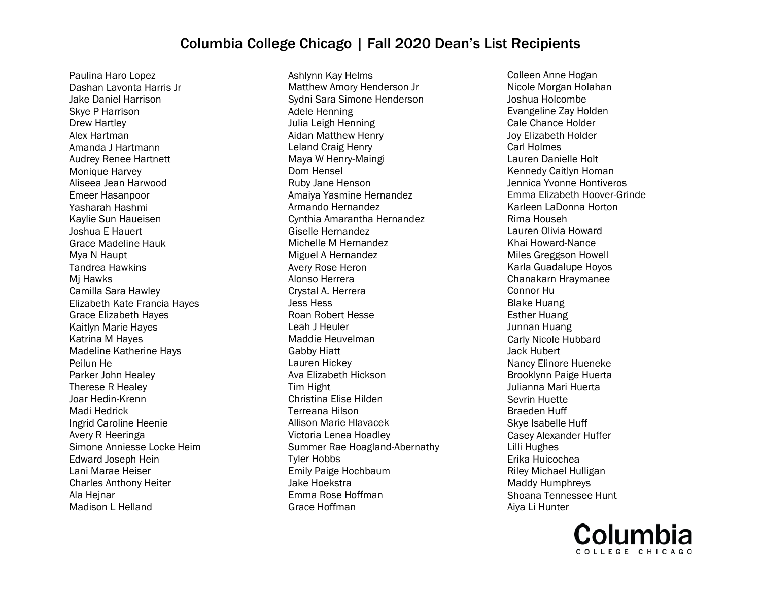Paulina Haro Lopez Dashan Lavonta Harris Jr Jake Daniel Harrison Skye P Harrison Drew Hartley Alex Hartman Amanda J Hartmann Audrey Renee Hartnett Monique Harvey Aliseea Jean Harwood Emeer Hasanpoor Yasharah Hashmi Kaylie Sun Haueisen Joshua E Hauert Grace Madeline Hauk Mya N Haupt Tandrea Hawkins Mj Hawks Camilla Sara Hawley Elizabeth Kate Francia Hayes Grace Elizabeth Hayes Kaitlyn Marie Hayes Katrina M Hayes Madeline Katherine Hays Peilun He Parker John Healey Therese R Healey Joar Hedin-Krenn Madi Hedrick Ingrid Caroline Heenie Avery R Heeringa Simone Anniesse Locke Heim Edward Joseph Hein Lani Marae Heiser Charles Anthony Heiter Ala Hejnar Madison L Helland

Ashlynn Kay Helms Matthew Amory Henderson Jr Sydni Sara Simone Henderson Adele Henning Julia Leigh Henning Aidan Matthew Henry Leland Craig Henry Maya W Henry-Maingi Dom Hensel Ruby Jane Henson Amaiya Yasmine Hernandez Armando Hernandez Cynthia Amarantha Hernandez Giselle Hernandez Michelle M Hernandez Miguel A Hernandez Avery Rose Heron Alonso Herrera Crystal A. Herrera Jess Hess Roan Robert Hesse Leah J Heuler Maddie Heuvelman Gabby Hiatt Lauren Hickey Ava Elizabeth Hickson Tim Hight Christina Elise Hilden Terreana Hilson Allison Marie Hlavacek Victoria Lenea Hoadley Summer Rae Hoagland-Abernathy Tyler Hobbs Emily Paige Hochbaum Jake Hoekstra Emma Rose Hoffman Grace Hoffman

Colleen Anne Hogan Nicole Morgan Holahan Joshua Holcombe Evangeline Zay Holden Cale Chance Holder Joy Elizabeth Holder Carl Holmes Lauren Danielle Holt Kennedy Caitlyn Homan Jennica Yvonne Hontiveros Emma Elizabeth Hoover-Grinde Karleen LaDonna Horton Rima Househ Lauren Olivia Howard Khai Howard-Nance Miles Greggson Howell Karla Guadalupe Hoyos Chanakarn Hraymanee Connor Hu Blake Huang Esther Huang Junnan Huang Carly Nicole Hubbard Jack Hubert Nancy Elinore Hueneke Brooklynn Paige Huerta Julianna Mari Huerta Sevrin Huette Braeden Huff Skye Isabelle Huff Casey Alexander Huffer Lilli Hughes Erika Huicochea Riley Michael Hulligan Maddy Humphreys Shoana Tennessee Hunt Aiya Li Hunter

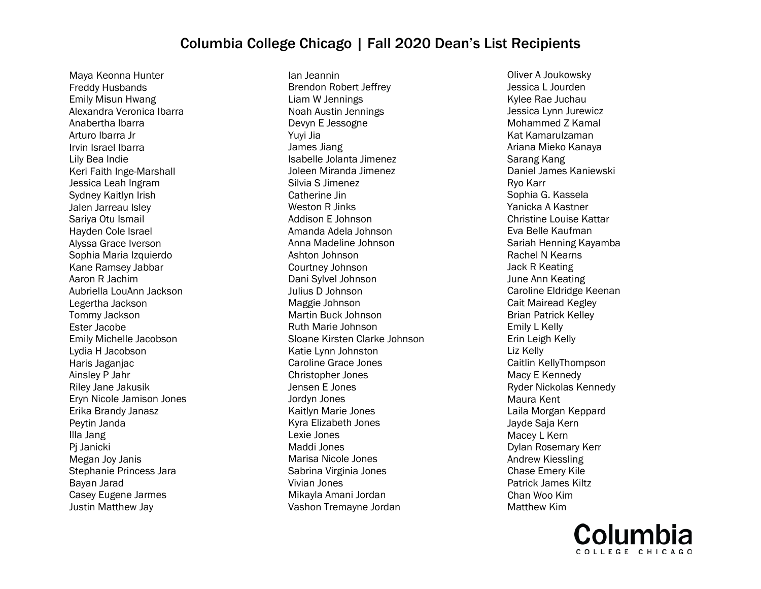Maya Keonna Hunter Freddy Husbands Emily Misun Hwang Alexandra Veronica Ibarra Anabertha Ibarra Arturo Ibarra Jr Irvin Israel Ibarra Lily Bea Indie Keri Faith Inge-Marshall Jessica Leah Ingram Sydney Kaitlyn Irish Jalen Jarreau Isley Sariya Otu Ismail Hayden Cole Israel Alyssa Grace Iverson Sophia Maria Izquierdo Kane Ramsey Jabbar Aaron R Jachim Aubriella LouAnn Jackson Legertha Jackson Tommy Jackson Ester Jacobe Emily Michelle Jacobson Lydia H Jacobson Haris Jaganjac Ainsley P Jahr Riley Jane Jakusik Eryn Nicole Jamison Jones Erika Brandy Janasz Peytin Janda Illa Jang Pj Janicki Megan Joy Janis Stephanie Princess Jara Bayan Jarad Casey Eugene Jarmes Justin Matthew Jay

Ian Jeannin Brendon Robert Jeffrey Liam W Jennings Noah Austin Jennings Devyn E Jessogne Yuyi Jia James Jiang Isabelle Jolanta Jimenez Joleen Miranda Jimenez Silvia S Jimenez Catherine Jin Weston R Jinks Addison E Johnson Amanda Adela Johnson Anna Madeline Johnson Ashton Johnson Courtney Johnson Dani Sylvel Johnson Julius D Johnson Maggie Johnson Martin Buck Johnson Ruth Marie Johnson Sloane Kirsten Clarke Johnson Katie Lynn Johnston Caroline Grace Jones Christopher Jones Jensen E Jones Jordyn Jones Kaitlyn Marie Jones Kyra Elizabeth Jones Lexie Jones Maddi Jones Marisa Nicole Jones Sabrina Virginia Jones Vivian Jones Mikayla Amani Jordan Vashon Tremayne Jordan

Oliver A Joukowsky Jessica L Jourden Kylee Rae Juchau Jessica Lynn Jurewicz Mohammed Z Kamal Kat Kamarulzaman Ariana Mieko Kanaya Sarang Kang Daniel James Kaniewski Ryo Karr Sophia G. Kassela Yanicka A Kastner Christine Louise Kattar Eva Belle Kaufman Sariah Henning Kayamba Rachel N Kearns Jack R Keating June Ann Keating Caroline Eldridge Keenan Cait Mairead Kegley Brian Patrick Kelley Emily L Kelly Erin Leigh Kelly Liz Kelly Caitlin KellyThompson Macy E Kennedy Ryder Nickolas Kennedy Maura Kent Laila Morgan Keppard Jayde Saja Kern Macey L Kern Dylan Rosemary Kerr Andrew Kiessling Chase Emery Kile Patrick James Kiltz Chan Woo Kim Matthew Kim

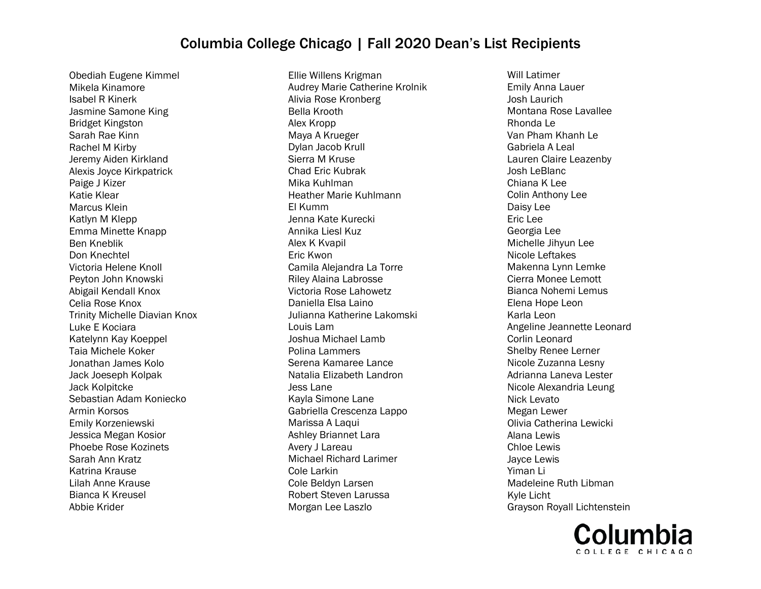Obediah Eugene Kimmel Mikela Kinamore Isabel R Kinerk Jasmine Samone King Bridget Kingston Sarah Rae Kinn Rachel M Kirby Jeremy Aiden Kirkland Alexis Joyce Kirkpatrick Paige J Kizer Katie Klear Marcus Klein Katlyn M Klepp Emma Minette Knapp Ben Kneblik Don Knechtel Victoria Helene Knoll Peyton John Knowski Abigail Kendall Knox Celia Rose Knox Trinity Michelle Diavian Knox Luke E Kociara Katelynn Kay Koeppel Taia Michele Koker Jonathan James Kolo Jack Joeseph Kolpak Jack Kolpitcke Sebastian Adam Koniecko Armin Korsos Emily Korzeniewski Jessica Megan Kosior Phoebe Rose Kozinets Sarah Ann Kratz Katrina Krause Lilah Anne Krause Bianca K Kreusel Abbie Krider

Ellie Willens Krigman Audrey Marie Catherine Krolnik Alivia Rose Kronberg Bella Krooth Alex Kropp Maya A Krueger Dylan Jacob Krull Sierra M Kruse Chad Eric Kubrak Mika Kuhlman Heather Marie Kuhlmann El Kumm Jenna Kate Kurecki Annika Liesl Kuz Alex K Kvapil Eric Kwon Camila Alejandra La Torre Riley Alaina Labrosse Victoria Rose Lahowetz Daniella Elsa Laino Julianna Katherine Lakomski Louis Lam Joshua Michael Lamb Polina Lammers Serena Kamaree Lance Natalia Elizabeth Landron Jess Lane Kayla Simone Lane Gabriella Crescenza Lappo Marissa A Laqui Ashley Briannet Lara Avery J Lareau Michael Richard Larimer Cole Larkin Cole Beldyn Larsen Robert Steven Larussa Morgan Lee Laszlo

Will Latimer Emily Anna Lauer Josh Laurich Montana Rose Lavallee Rhonda Le Van Pham Khanh Le Gabriela A Leal Lauren Claire Leazenby Josh LeBlanc Chiana K Lee Colin Anthony Lee Daisy Lee Eric Lee Georgia Lee Michelle Jihyun Lee Nicole Leftakes Makenna Lynn Lemke Cierra Monee Lemott Bianca Nohemi Lemus Elena Hope Leon Karla Leon Angeline Jeannette Leonard Corlin Leonard Shelby Renee Lerner Nicole Zuzanna Lesny Adrianna Laneva Lester Nicole Alexandria Leung Nick Levato Megan Lewer Olivia Catherina Lewicki Alana Lewis Chloe Lewis Jayce Lewis Yiman Li Madeleine Ruth Libman Kyle Licht Grayson Royall Lichtenstein

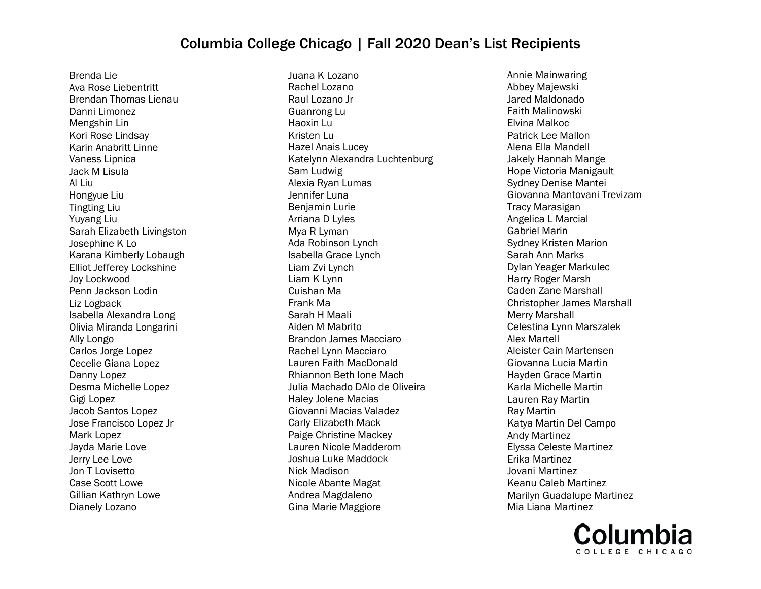Brenda Lie Ava Rose Liebentritt Brendan Thomas Lienau Danni Limonez Mengshin Lin Kori Rose Lindsay Karin Anabritt Linne Vaness Lipnica Jack M Lisula Al Liu Hongyue Liu Tingting Liu Yuyang Liu Sarah Elizabeth Livingston Josephine K Lo Karana Kimberly Lobaugh Elliot Jefferey Lockshine Joy Lockwood Penn Jackson Lodin Liz Logback Isabella Alexandra Long Olivia Miranda Longarini Ally Longo Carlos Jorge Lopez Cecelie Giana Lopez Danny Lopez Desma Michelle Lopez Gigi Lopez Jacob Santos Lopez Jose Francisco Lopez Jr Mark Lopez Jayda Marie Love Jerry Lee Love Jon T Lovisetto Case Scott Lowe Gillian Kathryn Lowe Dianely Lozano

Juana K Lozano Rachel Lozano Raul Lozano Jr Guanrong Lu Haoxin Lu Kristen Lu Hazel Anais Lucey Katelynn Alexandra Luchtenburg Sam Ludwig Alexia Ryan Lumas Jennifer Luna Benjamin Lurie Arriana D Lyles Mya R Lyman Ada Robinson Lynch Isabella Grace Lynch Liam Zvi Lynch Liam K Lynn Cuishan Ma Frank Ma Sarah H Maali Aiden M Mabrito Brandon James Macciaro Rachel Lynn Macciaro Lauren Faith MacDonald Rhiannon Beth Ione Mach Julia Machado DAlo de Oliveira Haley Jolene Macias Giovanni Macias Valadez Carly Elizabeth Mack Paige Christine Mackey Lauren Nicole Madderom Joshua Luke Maddock Nick Madison Nicole Abante Magat Andrea Magdaleno Gina Marie Maggiore

Annie Mainwaring Abbey Majewski Jared Maldonado Faith Malinowski Elvina Malkoc Patrick Lee Mallon Alena Ella Mandell Jakely Hannah Mange Hope Victoria Manigault Sydney Denise Mantei Giovanna Mantovani Trevizam Tracy Marasigan Angelica L Marcial Gabriel Marin Sydney Kristen Marion Sarah Ann Marks Dylan Yeager Markulec Harry Roger Marsh Caden Zane Marshall Christopher James Marshall Merry Marshall Celestina Lynn Marszalek Alex Martell Aleister Cain Martensen Giovanna Lucia Martin Hayden Grace Martin Karla Michelle Martin Lauren Ray Martin Ray Martin Katya Martin Del Campo Andy Martinez Elyssa Celeste Martinez Erika Martinez Jovani Martinez Keanu Caleb Martinez Marilyn Guadalupe Martinez Mia Liana Martinez

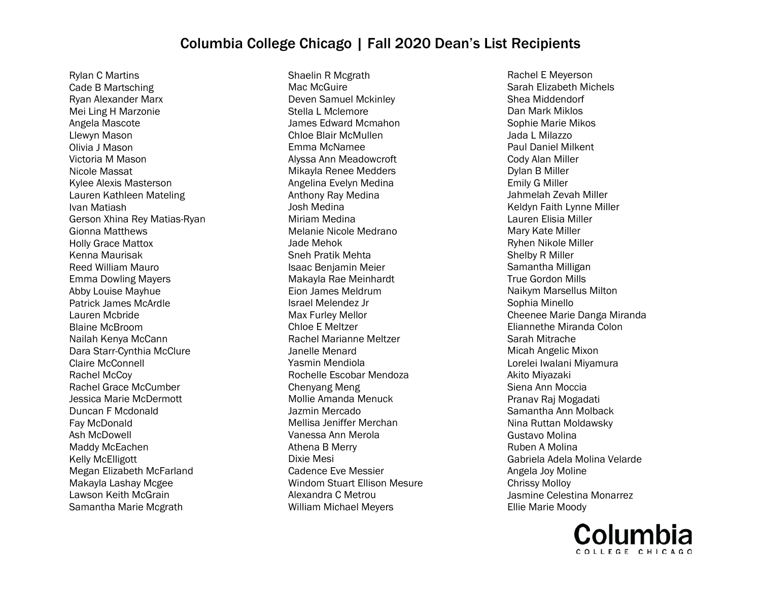Rylan C Martins Cade B Martsching Ryan Alexander Marx Mei Ling H Marzonie Angela Mascote Llewyn Mason Olivia J Mason Victoria M Mason Nicole Massat Kylee Alexis Masterson Lauren Kathleen Mateling Ivan Matiash Gerson Xhina Rey Matias-Ryan Gionna Matthews Holly Grace Mattox Kenna Maurisak Reed William Mauro Emma Dowling Mayers Abby Louise Mayhue Patrick James McArdle Lauren Mcbride Blaine McBroom Nailah Kenya McCann Dara Starr-Cynthia McClure Claire McConnell Rachel McCoy Rachel Grace McCumber Jessica Marie McDermott Duncan F Mcdonald Fay McDonald Ash McDowell Maddy McEachen Kelly McElligott Megan Elizabeth McFarland Makayla Lashay Mcgee Lawson Keith McGrain Samantha Marie Mcgrath

Shaelin R Mcgrath Mac McGuire Deven Samuel Mckinley Stella L Mclemore James Edward Mcmahon Chloe Blair McMullen Emma McNamee Alyssa Ann Meadowcroft Mikayla Renee Medders Angelina Evelyn Medina Anthony Ray Medina Josh Medina Miriam Medina Melanie Nicole Medrano Jade Mehok Sneh Pratik Mehta Isaac Benjamin Meier Makayla Rae Meinhardt Eion James Meldrum Israel Melendez Jr Max Furley Mellor Chloe E Meltzer Rachel Marianne Meltzer Janelle Menard Yasmin Mendiola Rochelle Escobar Mendoza Chenyang Meng Mollie Amanda Menuck Jazmin Mercado Mellisa Jeniffer Merchan Vanessa Ann Merola Athena B Merry Dixie Mesi Cadence Eve Messier Windom Stuart Ellison Mesure Alexandra C Metrou William Michael Meyers

Rachel E Meyerson Sarah Elizabeth Michels Shea Middendorf Dan Mark Miklos Sophie Marie Mikos Jada L Milazzo Paul Daniel Milkent Cody Alan Miller Dylan B Miller Emily G Miller Jahmelah Zevah Miller Keldyn Faith Lynne Miller Lauren Elisia Miller Mary Kate Miller Ryhen Nikole Miller Shelby R Miller Samantha Milligan True Gordon Mills Naikym Marsellus Milton Sophia Minello Cheenee Marie Danga Miranda Eliannethe Miranda Colon Sarah Mitrache Micah Angelic Mixon Lorelei Iwalani Miyamura Akito Miyazaki Siena Ann Moccia Pranav Raj Mogadati Samantha Ann Molback Nina Ruttan Moldawsky Gustavo Molina Ruben A Molina Gabriela Adela Molina Velarde Angela Joy Moline Chrissy Molloy Jasmine Celestina Monarrez Ellie Marie Moody

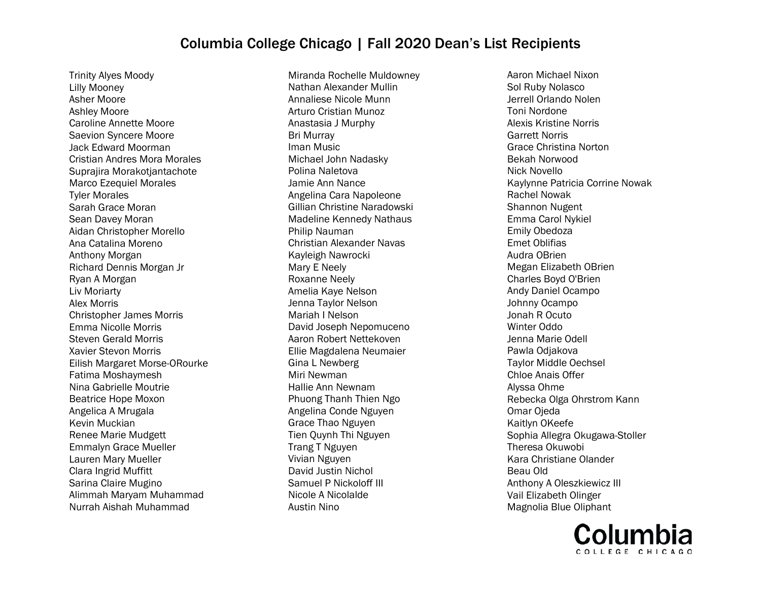Trinity Alyes Moody Lilly Mooney Asher Moore Ashley Moore Caroline Annette Moore Saevion Syncere Moore Jack Edward Moorman Cristian Andres Mora Morales Suprajira Morakotjantachote Marco Ezequiel Morales Tyler Morales Sarah Grace Moran Sean Davey Moran Aidan Christopher Morello Ana Catalina Moreno Anthony Morgan Richard Dennis Morgan Jr Ryan A Morgan Liv Moriarty Alex Morris Christopher James Morris Emma Nicolle Morris Steven Gerald Morris Xavier Stevon Morris Eilish Margaret Morse-ORourke Fatima Moshaymesh Nina Gabrielle Moutrie Beatrice Hope Moxon Angelica A Mrugala Kevin Muckian Renee Marie Mudgett Emmalyn Grace Mueller Lauren Mary Mueller Clara Ingrid Muffitt Sarina Claire Mugino Alimmah Maryam Muhammad Nurrah Aishah Muhammad

Miranda Rochelle Muldowney Nathan Alexander Mullin Annaliese Nicole Munn Arturo Cristian Munoz Anastasia J Murphy Bri Murray Iman Music Michael John Nadasky Polina Naletova Jamie Ann Nance Angelina Cara Napoleone Gillian Christine Naradowski Madeline Kennedy Nathaus Philip Nauman Christian Alexander Navas Kayleigh Nawrocki Mary E Neely Roxanne Neely Amelia Kaye Nelson Jenna Taylor Nelson Mariah I Nelson David Joseph Nepomuceno Aaron Robert Nettekoven Ellie Magdalena Neumaier Gina L Newberg Miri Newman Hallie Ann Newnam Phuong Thanh Thien Ngo Angelina Conde Nguyen Grace Thao Nguyen Tien Quynh Thi Nguyen Trang T Nguyen Vivian Nguyen David Justin Nichol Samuel P Nickoloff III Nicole A Nicolalde Austin Nino

Aaron Michael Nixon Sol Ruby Nolasco Jerrell Orlando Nolen Toni Nordone Alexis Kristine Norris Garrett Norris Grace Christina Norton Bekah Norwood Nick Novello Kaylynne Patricia Corrine Nowak Rachel Nowak Shannon Nugent Emma Carol Nykiel Emily Obedoza Emet Oblifias Audra OBrien Megan Elizabeth OBrien Charles Boyd O'Brien Andy Daniel Ocampo Johnny Ocampo Jonah R Ocuto Winter Oddo Jenna Marie Odell Pawla Odjakova Taylor Middle Oechsel Chloe Anais Offer Alyssa Ohme Rebecka Olga Ohrstrom Kann Omar Ojeda Kaitlyn OKeefe Sophia Allegra Okugawa-Stoller Theresa Okuwobi Kara Christiane Olander Beau Old Anthony A Oleszkiewicz III Vail Elizabeth Olinger Magnolia Blue Oliphant

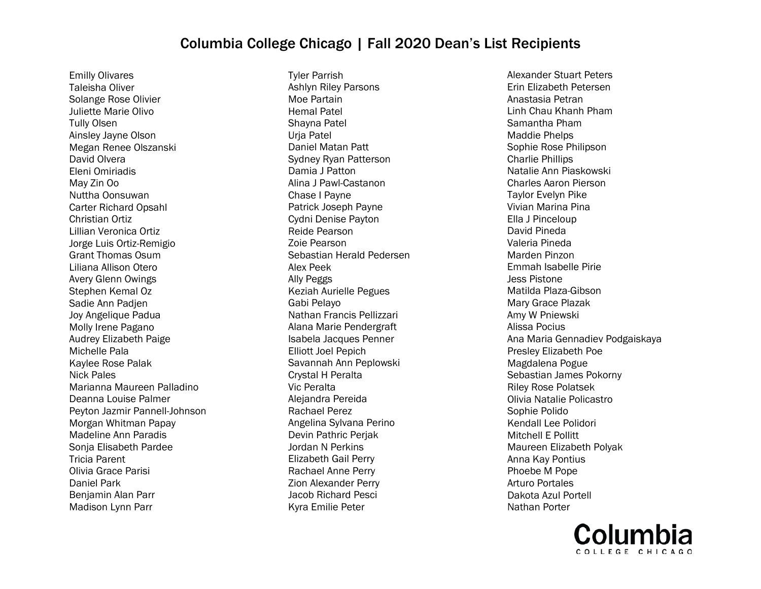Emilly Olivares Taleisha Oliver Solange Rose Olivier Juliette Marie Olivo Tully Olsen Ainsley Jayne Olson Megan Renee Olszanski David Olvera Eleni Omiriadis May Zin Oo Nuttha Oonsuwan Carter Richard Opsahl Christian Ortiz Lillian Veronica Ortiz Jorge Luis Ortiz-Remigio Grant Thomas Osum Liliana Allison Otero Avery Glenn Owings Stephen Kemal Oz Sadie Ann Padjen Joy Angelique Padua Molly Irene Pagano Audrey Elizabeth Paige Michelle Pala Kaylee Rose Palak Nick Pales Marianna Maureen Palladino Deanna Louise Palmer Peyton Jazmir Pannell-Johnson Morgan Whitman Papay Madeline Ann Paradis Sonja Elisabeth Pardee Tricia Parent Olivia Grace Parisi Daniel Park Benjamin Alan Parr Madison Lynn Parr

Tyler Parrish Ashlyn Riley Parsons Moe Partain Hemal Patel Shayna Patel Urja Patel Daniel Matan Patt Sydney Ryan Patterson Damia J Patton Alina J Pawl-Castanon Chase I Payne Patrick Joseph Payne Cydni Denise Payton Reide Pearson Zoie Pearson Sebastian Herald Pedersen Alex Peek Ally Peggs Keziah Aurielle Pegues Gabi Pelayo Nathan Francis Pellizzari Alana Marie Pendergraft Isabela Jacques Penner Elliott Joel Pepich Savannah Ann Peplowski Crystal H Peralta Vic Peralta Alejandra Pereida Rachael Perez Angelina Sylvana Perino Devin Pathric Perjak Jordan N Perkins Elizabeth Gail Perry Rachael Anne Perry Zion Alexander Perry Jacob Richard Pesci Kyra Emilie Peter

Alexander Stuart Peters Erin Elizabeth Petersen Anastasia Petran Linh Chau Khanh Pham Samantha Pham Maddie Phelps Sophie Rose Philipson Charlie Phillips Natalie Ann Piaskowski Charles Aaron Pierson Taylor Evelyn Pike Vivian Marina Pina Ella J Pinceloup David Pineda Valeria Pineda Marden Pinzon Emmah Isabelle Pirie Jess Pistone Matilda Plaza-Gibson Mary Grace Plazak Amy W Pniewski Alissa Pocius Ana Maria Gennadiev Podgaiskaya Presley Elizabeth Poe Magdalena Pogue Sebastian James Pokorny Riley Rose Polatsek Olivia Natalie Policastro Sophie Polido Kendall Lee Polidori Mitchell E Pollitt Maureen Elizabeth Polyak Anna Kay Pontius Phoebe M Pope Arturo Portales Dakota Azul Portell Nathan Porter

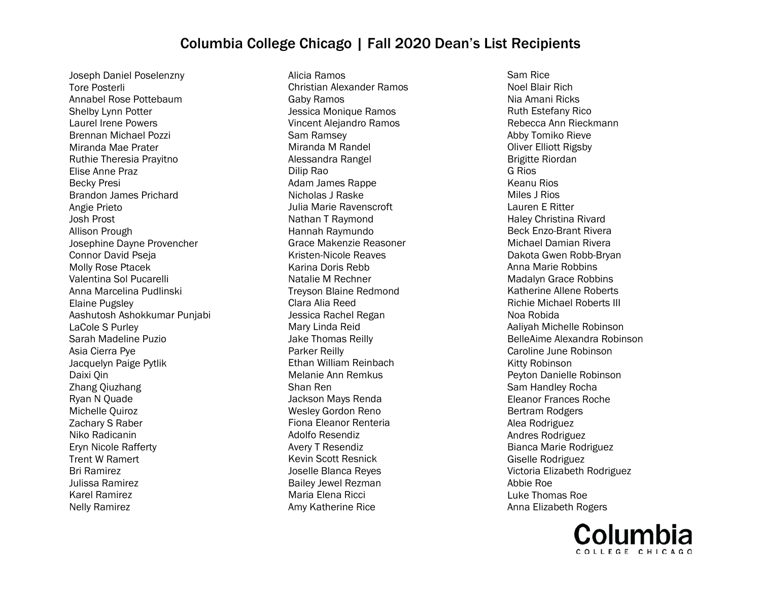Joseph Daniel Poselenzny Tore Posterli Annabel Rose Pottebaum Shelby Lynn Potter Laurel Irene Powers Brennan Michael Pozzi Miranda Mae Prater Ruthie Theresia Prayitno Elise Anne Praz Becky Presi Brandon James Prichard Angie Prieto Josh Prost Allison Prough Josephine Dayne Provencher Connor David Pseja Molly Rose Ptacek Valentina Sol Pucarelli Anna Marcelina Pudlinski Elaine Pugsley Aashutosh Ashokkumar Punjabi LaCole S Purley Sarah Madeline Puzio Asia Cierra Pye Jacquelyn Paige Pytlik Daixi Qin Zhang Qiuzhang Ryan N Quade Michelle Quiroz Zachary S Raber Niko Radicanin Eryn Nicole Rafferty Trent W Ramert Bri Ramirez Julissa Ramirez Karel Ramirez Nelly Ramirez

Alicia Ramos Christian Alexander Ramos Gaby Ramos Jessica Monique Ramos Vincent Alejandro Ramos Sam Ramsey Miranda M Randel Alessandra Rangel Dilip Rao Adam James Rappe Nicholas J Raske Julia Marie Ravenscroft Nathan T Raymond Hannah Raymundo Grace Makenzie Reasoner Kristen-Nicole Reaves Karina Doris Rebb Natalie M Rechner Treyson Blaine Redmond Clara Alia Reed Jessica Rachel Regan Mary Linda Reid Jake Thomas Reilly Parker Reilly Ethan William Reinbach Melanie Ann Remkus Shan Ren Jackson Mays Renda Wesley Gordon Reno Fiona Eleanor Renteria Adolfo Resendiz Avery T Resendiz Kevin Scott Resnick Joselle Blanca Reyes Bailey Jewel Rezman Maria Elena Ricci Amy Katherine Rice

Sam Rice Noel Blair Rich Nia Amani Ricks Ruth Estefany Rico Rebecca Ann Rieckmann Abby Tomiko Rieve Oliver Elliott Rigsby Brigitte Riordan G Rios Keanu Rios Miles J Rios Lauren E Ritter Haley Christina Rivard Beck Enzo-Brant Rivera Michael Damian Rivera Dakota Gwen Robb-Bryan Anna Marie Robbins Madalyn Grace Robbins Katherine Allene Roberts Richie Michael Roberts III Noa Robida Aaliyah Michelle Robinson BelleAime Alexandra Robinson Caroline June Robinson Kitty Robinson Peyton Danielle Robinson Sam Handley Rocha Eleanor Frances Roche Bertram Rodgers Alea Rodriguez Andres Rodriguez Bianca Marie Rodriguez Giselle Rodriguez Victoria Elizabeth Rodriguez Abbie Roe Luke Thomas Roe Anna Elizabeth Rogers

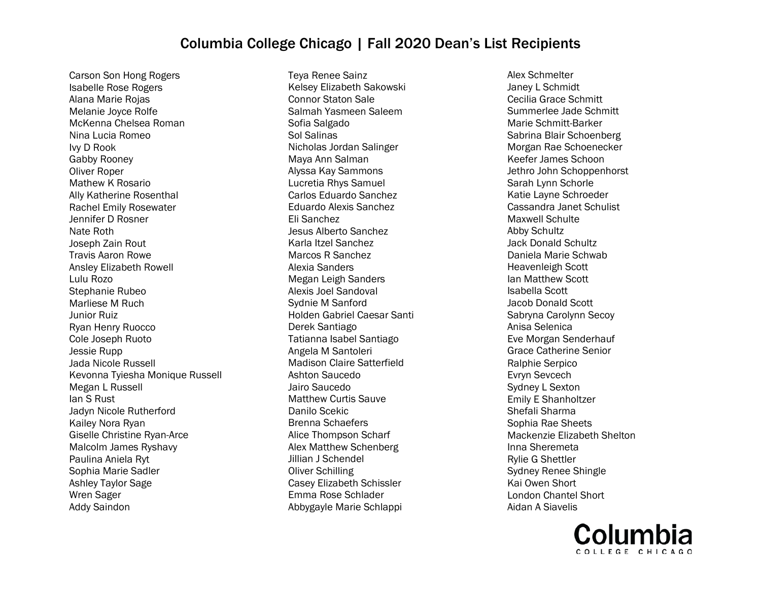Carson Son Hong Rogers Isabelle Rose Rogers Alana Marie Rojas Melanie Joyce Rolfe McKenna Chelsea Roman Nina Lucia Romeo Ivy D Rook Gabby Rooney Oliver Roper Mathew K Rosario Ally Katherine Rosenthal Rachel Emily Rosewater Jennifer D Rosner Nate Roth Joseph Zain Rout Travis Aaron Rowe Ansley Elizabeth Rowell Lulu Rozo Stephanie Rubeo Marliese M Ruch Junior Ruiz Ryan Henry Ruocco Cole Joseph Ruoto Jessie Rupp Jada Nicole Russell Kevonna Tyiesha Monique Russell Megan L Russell Ian S Rust Jadyn Nicole Rutherford Kailey Nora Ryan Giselle Christine Ryan-Arce Malcolm James Ryshavy Paulina Aniela Ryt Sophia Marie Sadler Ashley Taylor Sage Wren Sager Addy Saindon

Teya Renee Sainz Kelsey Elizabeth Sakowski Connor Staton Sale Salmah Yasmeen Saleem Sofia Salgado Sol Salinas Nicholas Jordan Salinger Maya Ann Salman Alyssa Kay Sammons Lucretia Rhys Samuel Carlos Eduardo Sanchez Eduardo Alexis Sanchez Eli Sanchez Jesus Alberto Sanchez Karla Itzel Sanchez Marcos R Sanchez Alexia Sanders Megan Leigh Sanders Alexis Joel Sandoval Sydnie M Sanford Holden Gabriel Caesar Santi Derek Santiago Tatianna Isabel Santiago Angela M Santoleri Madison Claire Satterfield Ashton Saucedo Jairo Saucedo Matthew Curtis Sauve Danilo Scekic Brenna Schaefers Alice Thompson Scharf Alex Matthew Schenberg Jillian J Schendel Oliver Schilling Casey Elizabeth Schissler Emma Rose Schlader Abbygayle Marie Schlappi

Alex Schmelter Janey L Schmidt Cecilia Grace Schmitt Summerlee Jade Schmitt Marie Schmitt-Barker Sabrina Blair Schoenberg Morgan Rae Schoenecker Keefer James Schoon Jethro John Schoppenhorst Sarah Lynn Schorle Katie Layne Schroeder Cassandra Janet Schulist Maxwell Schulte Abby Schultz Jack Donald Schultz Daniela Marie Schwab Heavenleigh Scott Ian Matthew Scott Isabella Scott Jacob Donald Scott Sabryna Carolynn Secoy Anisa Selenica Eve Morgan Senderhauf Grace Catherine Senior Ralphie Serpico Evryn Sevcech Sydney L Sexton Emily E Shanholtzer Shefali Sharma Sophia Rae Sheets Mackenzie Elizabeth Shelton Inna Sheremeta Rylie G Shettler Sydney Renee Shingle Kai Owen Short London Chantel Short Aidan A Siavelis

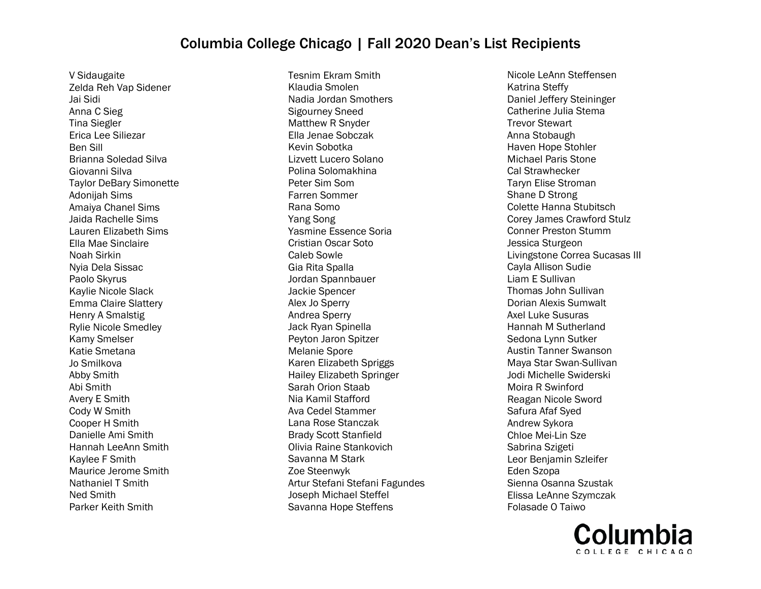V Sidaugaite Zelda Reh Vap Sidener Jai Sidi Anna C Sieg Tina Siegler Erica Lee Siliezar Ben Sill Brianna Soledad Silva Giovanni Silva Taylor DeBary Simonette Adonijah Sims Amaiya Chanel Sims Jaida Rachelle Sims Lauren Elizabeth Sims Ella Mae Sinclaire Noah Sirkin Nyia Dela Sissac Paolo Skyrus Kaylie Nicole Slack Emma Claire Slattery Henry A Smalstig Rylie Nicole Smedley Kamy Smelser Katie Smetana Jo Smilkova Abby Smith Abi Smith Avery E Smith Cody W Smith Cooper H Smith Danielle Ami Smith Hannah LeeAnn Smith Kaylee F Smith Maurice Jerome Smith Nathaniel T Smith Ned Smith Parker Keith Smith

Tesnim Ekram Smith Klaudia Smolen Nadia Jordan Smothers Sigourney Sneed Matthew R Snyder Ella Jenae Sobczak Kevin Sobotka Lizvett Lucero Solano Polina Solomakhina Peter Sim Som Farren Sommer Rana Somo Yang Song Yasmine Essence Soria Cristian Oscar Soto Caleb Sowle Gia Rita Spalla Jordan Spannbauer Jackie Spencer Alex Jo Sperry Andrea Sperry Jack Ryan Spinella Peyton Jaron Spitzer Melanie Spore Karen Elizabeth Spriggs Hailey Elizabeth Springer Sarah Orion Staab Nia Kamil Stafford Ava Cedel Stammer Lana Rose Stanczak Brady Scott Stanfield Olivia Raine Stankovich Savanna M Stark Zoe Steenwyk Artur Stefani Stefani Fagundes Joseph Michael Steffel Savanna Hope Steffens

Nicole LeAnn Steffensen Katrina Steffy Daniel Jeffery Steininger Catherine Julia Stema Trevor Stewart Anna Stobaugh Haven Hope Stohler Michael Paris Stone Cal Strawhecker Taryn Elise Stroman Shane D Strong Colette Hanna Stubitsch Corey James Crawford Stulz Conner Preston Stumm Jessica Sturgeon Livingstone Correa Sucasas III Cayla Allison Sudie Liam E Sullivan Thomas John Sullivan Dorian Alexis Sumwalt Axel Luke Susuras Hannah M Sutherland Sedona Lynn Sutker Austin Tanner Swanson Maya Star Swan-Sullivan Jodi Michelle Swiderski Moira R Swinford Reagan Nicole Sword Safura Afaf Syed Andrew Sykora Chloe Mei-Lin Sze Sabrina Szigeti Leor Benjamin Szleifer Eden Szopa Sienna Osanna Szustak Elissa LeAnne Szymczak Folasade O Taiwo

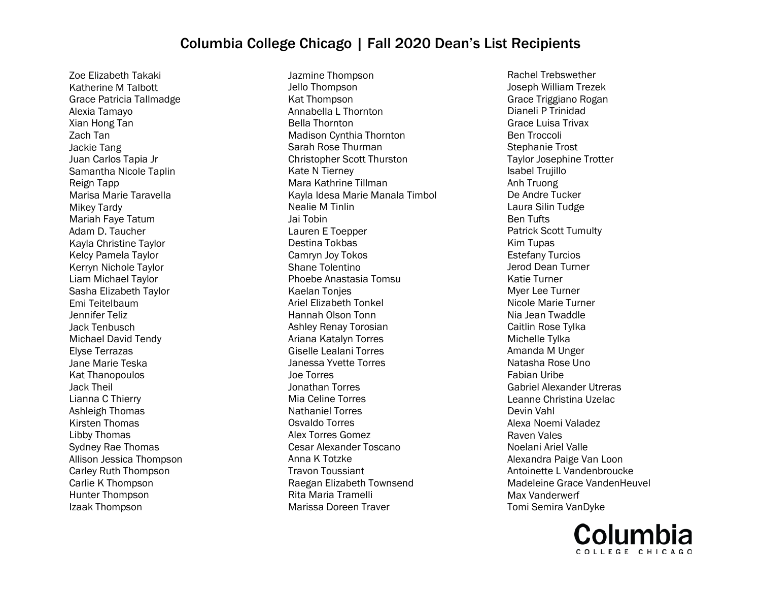Zoe Elizabeth Takaki Katherine M Talbott Grace Patricia Tallmadge Alexia Tamayo Xian Hong Tan Zach Tan Jackie Tang Juan Carlos Tapia Jr Samantha Nicole Taplin Reign Tapp Marisa Marie Taravella Mikey Tardy Mariah Faye Tatum Adam D. Taucher Kayla Christine Taylor Kelcy Pamela Taylor Kerryn Nichole Taylor Liam Michael Taylor Sasha Elizabeth Taylor Emi Teitelbaum Jennifer Teliz Jack Tenbusch Michael David Tendy Elyse Terrazas Jane Marie Teska Kat Thanopoulos Jack Theil Lianna C Thierry Ashleigh Thomas Kirsten Thomas Libby Thomas Sydney Rae Thomas Allison Jessica Thompson Carley Ruth Thompson Carlie K Thompson Hunter Thompson Izaak Thompson

Jazmine Thompson Jello Thompson Kat Thompson Annabella L Thornton Bella Thornton Madison Cynthia Thornton Sarah Rose Thurman Christopher Scott Thurston Kate N Tierney Mara Kathrine Tillman Kayla Idesa Marie Manala Timbol Nealie M Tinlin Jai Tobin Lauren E Toepper Destina Tokbas Camryn Joy Tokos Shane Tolentino Phoebe Anastasia Tomsu Kaelan Tonjes Ariel Elizabeth Tonkel Hannah Olson Tonn Ashley Renay Torosian Ariana Katalyn Torres Giselle Lealani Torres Janessa Yvette Torres Joe Torres Jonathan Torres Mia Celine Torres Nathaniel Torres Osvaldo Torres Alex Torres Gomez Cesar Alexander Toscano Anna K Totzke Travon Toussiant Raegan Elizabeth Townsend Rita Maria Tramelli Marissa Doreen Traver

Rachel Trebswether Joseph William Trezek Grace Triggiano Rogan Dianeli P Trinidad Grace Luisa Trivax Ben Troccoli Stephanie Trost Taylor Josephine Trotter Isabel Trujillo Anh Truong De Andre Tucker Laura Silin Tudge Ben Tufts Patrick Scott Tumulty Kim Tupas Estefany Turcios Jerod Dean Turner Katie Turner Myer Lee Turner Nicole Marie Turner Nia Jean Twaddle Caitlin Rose Tylka Michelle Tylka Amanda M Unger Natasha Rose Uno Fabian Uribe Gabriel Alexander Utreras Leanne Christina Uzelac Devin Vahl Alexa Noemi Valadez Raven Vales Noelani Ariel Valle Alexandra Paige Van Loon Antoinette L Vandenbroucke Madeleine Grace VandenHeuvel Max Vanderwerf Tomi Semira VanDyke

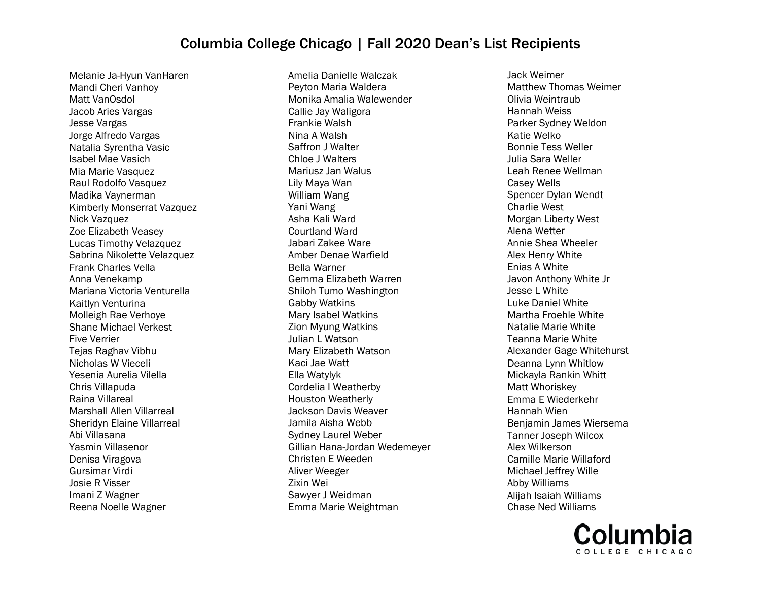Melanie Ja-Hyun VanHaren Mandi Cheri Vanhoy Matt VanOsdol Jacob Aries Vargas Jesse Vargas Jorge Alfredo Vargas Natalia Syrentha Vasic Isabel Mae Vasich Mia Marie Vasquez Raul Rodolfo Vasquez Madika Vaynerman Kimberly Monserrat Vazquez Nick Vazquez Zoe Elizabeth Veasey Lucas Timothy Velazquez Sabrina Nikolette Velazquez Frank Charles Vella Anna Venekamp Mariana Victoria Venturella Kaitlyn Venturina Molleigh Rae Verhoye Shane Michael Verkest Five Verrier Tejas Raghav Vibhu Nicholas W Vieceli Yesenia Aurelia Vilella Chris Villapuda Raina Villareal Marshall Allen Villarreal Sheridyn Elaine Villarreal Abi Villasana Yasmin Villasenor Denisa Viragova Gursimar Virdi Josie R Visser Imani Z Wagner Reena Noelle Wagner

Amelia Danielle Walczak Peyton Maria Waldera Monika Amalia Walewender Callie Jay Waligora Frankie Walsh Nina A Walsh Saffron J Walter Chloe J Walters Mariusz Jan Walus Lily Maya Wan William Wang Yani Wang Asha Kali Ward Courtland Ward Jabari Zakee Ware Amber Denae Warfield Bella Warner Gemma Elizabeth Warren Shiloh Tumo Washington Gabby Watkins Mary Isabel Watkins Zion Myung Watkins Julian L Watson Mary Elizabeth Watson Kaci Jae Watt Ella Watylyk Cordelia I Weatherby Houston Weatherly Jackson Davis Weaver Jamila Aisha Webb Sydney Laurel Weber Gillian Hana-Jordan Wedemeyer Christen E Weeden Aliver Weeger Zixin Wei Sawyer J Weidman Emma Marie Weightman

Jack Weimer Matthew Thomas Weimer Olivia Weintraub Hannah Weiss Parker Sydney Weldon Katie Welko Bonnie Tess Weller Julia Sara Weller Leah Renee Wellman Casey Wells Spencer Dylan Wendt Charlie West Morgan Liberty West Alena Wetter Annie Shea Wheeler Alex Henry White Enias A White Javon Anthony White Jr Jesse L White Luke Daniel White Martha Froehle White Natalie Marie White Teanna Marie White Alexander Gage Whitehurst Deanna Lynn Whitlow Mickayla Rankin Whitt Matt Whoriskey Emma E Wiederkehr Hannah Wien Benjamin James Wiersema Tanner Joseph Wilcox Alex Wilkerson Camille Marie Willaford Michael Jeffrey Wille Abby Williams Alijah Isaiah Williams Chase Ned Williams